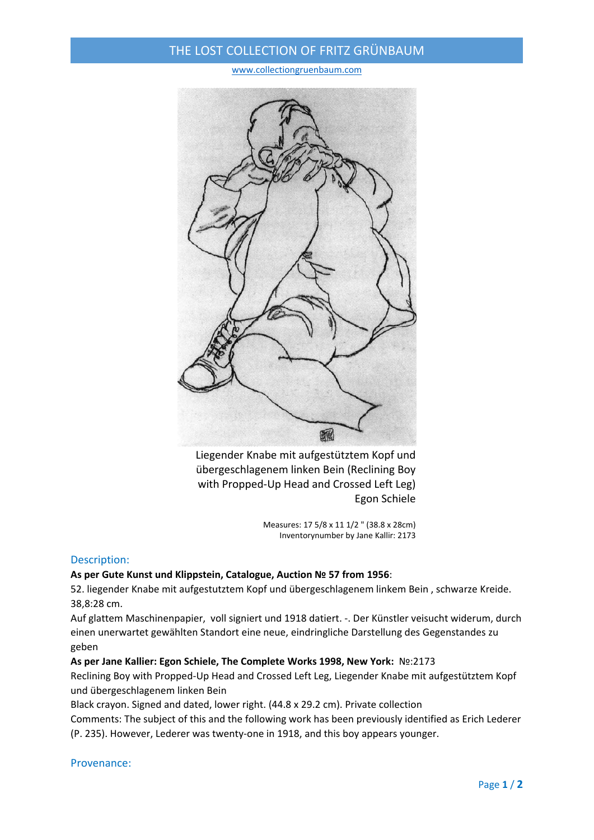## THE LOST COLLECTION OF FRITZ GRÜNBAUM

www.collectiongruenbaum.com



Liegender Knabe mit aufgestütztem Kopf und übergeschlagenem linken Bein (Reclining Boy with Propped‐Up Head and Crossed Left Leg) Egon Schiele

> Measures: 17 5/8 x 11 1/2 " (38.8 x 28cm) Inventorynumber by Jane Kallir: 2173

#### Description:

## **As per Gute Kunst und Klippstein, Catalogue, Auction № 57 from 1956**:

52. liegender Knabe mit aufgestutztem Kopf und übergeschlagenem linkem Bein , schwarze Kreide. 38,8:28 cm.

Auf glattem Maschinenpapier, voll signiert und 1918 datiert. ‐. Der Künstler veisucht widerum, durch einen unerwartet gewählten Standort eine neue, eindringliche Darstellung des Gegenstandes zu geben

## **As per Jane Kallier: Egon Schiele, The Complete Works 1998, New York:** №:2173

Reclining Boy with Propped‐Up Head and Crossed Left Leg, Liegender Knabe mit aufgestütztem Kopf und übergeschlagenem linken Bein

Black crayon. Signed and dated, lower right. (44.8 x 29.2 cm). Private collection

Comments: The subject of this and the following work has been previously identified as Erich Lederer (P. 235). However, Lederer was twenty‐one in 1918, and this boy appears younger.

#### Provenance: